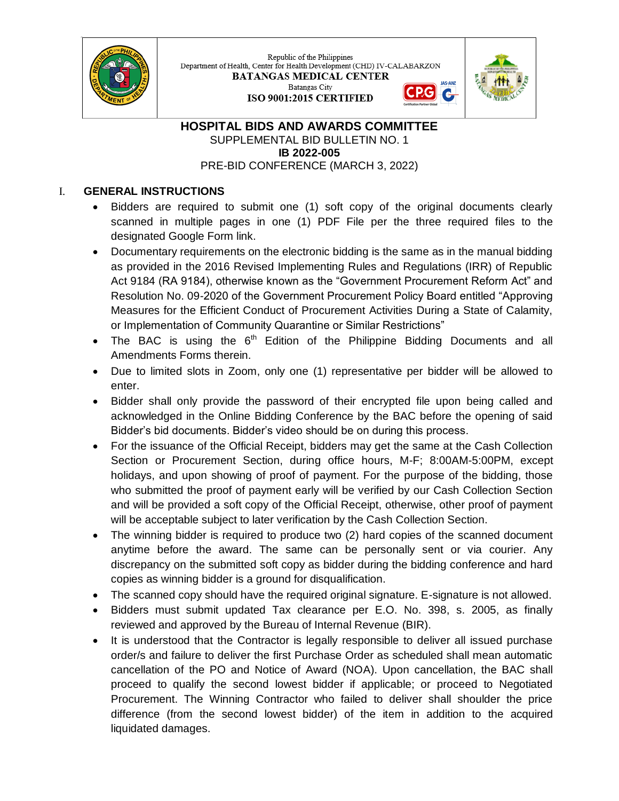

Republic of the Philippines Department of Health, Center for Health Development (CHD) IV-CALABARZON **BATANGAS MEDICAL CENTER** Batangas City ISO 9001:2015 CERTIFIED



G

#### **HOSPITAL BIDS AND AWARDS COMMITTEE** SUPPLEMENTAL BID BULLETIN NO. 1 **IB 2022-005** PRE-BID CONFERENCE (MARCH 3, 2022)

# I. **GENERAL INSTRUCTIONS**

- Bidders are required to submit one (1) soft copy of the original documents clearly scanned in multiple pages in one (1) PDF File per the three required files to the designated Google Form link.
- Documentary requirements on the electronic bidding is the same as in the manual bidding as provided in the 2016 Revised Implementing Rules and Regulations (IRR) of Republic Act 9184 (RA 9184), otherwise known as the "Government Procurement Reform Act" and Resolution No. 09-2020 of the Government Procurement Policy Board entitled "Approving Measures for the Efficient Conduct of Procurement Activities During a State of Calamity, or Implementation of Community Quarantine or Similar Restrictions"
- The BAC is using the  $6<sup>th</sup>$  Edition of the Philippine Bidding Documents and all Amendments Forms therein.
- Due to limited slots in Zoom, only one (1) representative per bidder will be allowed to enter.
- Bidder shall only provide the password of their encrypted file upon being called and acknowledged in the Online Bidding Conference by the BAC before the opening of said Bidder's bid documents. Bidder's video should be on during this process.
- For the issuance of the Official Receipt, bidders may get the same at the Cash Collection Section or Procurement Section, during office hours, M-F; 8:00AM-5:00PM, except holidays, and upon showing of proof of payment. For the purpose of the bidding, those who submitted the proof of payment early will be verified by our Cash Collection Section and will be provided a soft copy of the Official Receipt, otherwise, other proof of payment will be acceptable subject to later verification by the Cash Collection Section.
- The winning bidder is required to produce two (2) hard copies of the scanned document anytime before the award. The same can be personally sent or via courier. Any discrepancy on the submitted soft copy as bidder during the bidding conference and hard copies as winning bidder is a ground for disqualification.
- The scanned copy should have the required original signature. E-signature is not allowed.
- Bidders must submit updated Tax clearance per E.O. No. 398, s. 2005, as finally reviewed and approved by the Bureau of Internal Revenue (BIR).
- It is understood that the Contractor is legally responsible to deliver all issued purchase order/s and failure to deliver the first Purchase Order as scheduled shall mean automatic cancellation of the PO and Notice of Award (NOA). Upon cancellation, the BAC shall proceed to qualify the second lowest bidder if applicable; or proceed to Negotiated Procurement. The Winning Contractor who failed to deliver shall shoulder the price difference (from the second lowest bidder) of the item in addition to the acquired liquidated damages.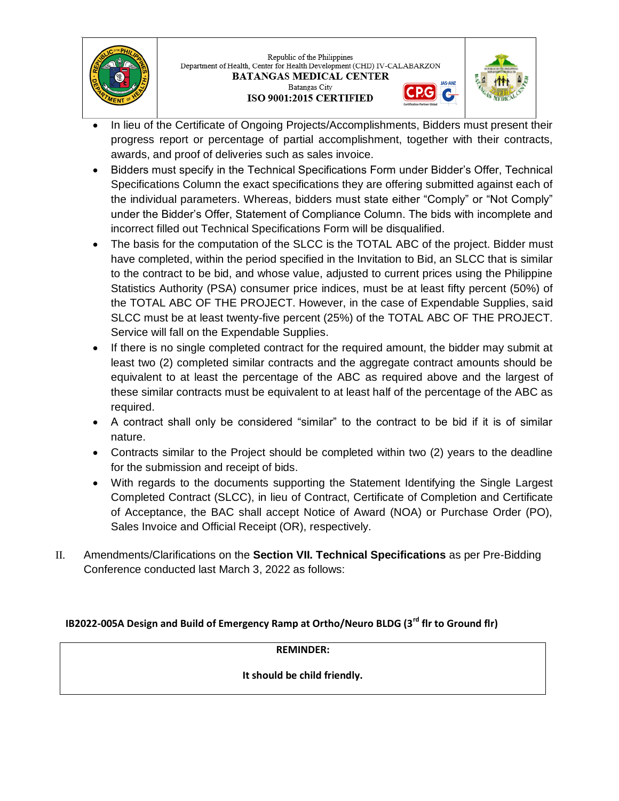

Republic of the Philippines Department of Health, Center for Health Development (CHD) IV-CALABARZON **BATANGAS MEDICAL CENTER** Batangas City ISO 9001:2015 CERTIFIED



G

- In lieu of the Certificate of Ongoing Projects/Accomplishments, Bidders must present their progress report or percentage of partial accomplishment, together with their contracts, awards, and proof of deliveries such as sales invoice.
- Bidders must specify in the Technical Specifications Form under Bidder's Offer, Technical Specifications Column the exact specifications they are offering submitted against each of the individual parameters. Whereas, bidders must state either "Comply" or "Not Comply" under the Bidder's Offer, Statement of Compliance Column. The bids with incomplete and incorrect filled out Technical Specifications Form will be disqualified.
- The basis for the computation of the SLCC is the TOTAL ABC of the project. Bidder must have completed, within the period specified in the Invitation to Bid, an SLCC that is similar to the contract to be bid, and whose value, adjusted to current prices using the Philippine Statistics Authority (PSA) consumer price indices, must be at least fifty percent (50%) of the TOTAL ABC OF THE PROJECT. However, in the case of Expendable Supplies, said SLCC must be at least twenty-five percent (25%) of the TOTAL ABC OF THE PROJECT. Service will fall on the Expendable Supplies.
- If there is no single completed contract for the required amount, the bidder may submit at least two (2) completed similar contracts and the aggregate contract amounts should be equivalent to at least the percentage of the ABC as required above and the largest of these similar contracts must be equivalent to at least half of the percentage of the ABC as required.
- A contract shall only be considered "similar" to the contract to be bid if it is of similar nature.
- Contracts similar to the Project should be completed within two (2) years to the deadline for the submission and receipt of bids.
- With regards to the documents supporting the Statement Identifying the Single Largest Completed Contract (SLCC), in lieu of Contract, Certificate of Completion and Certificate of Acceptance, the BAC shall accept Notice of Award (NOA) or Purchase Order (PO), Sales Invoice and Official Receipt (OR), respectively.
- II. Amendments/Clarifications on the **Section VII. Technical Specifications** as per Pre-Bidding Conference conducted last March 3, 2022 as follows:

## **IB2022-005A Design and Build of Emergency Ramp at Ortho/Neuro BLDG (3rd flr to Ground flr)**

### **REMINDER:**

## **It should be child friendly.**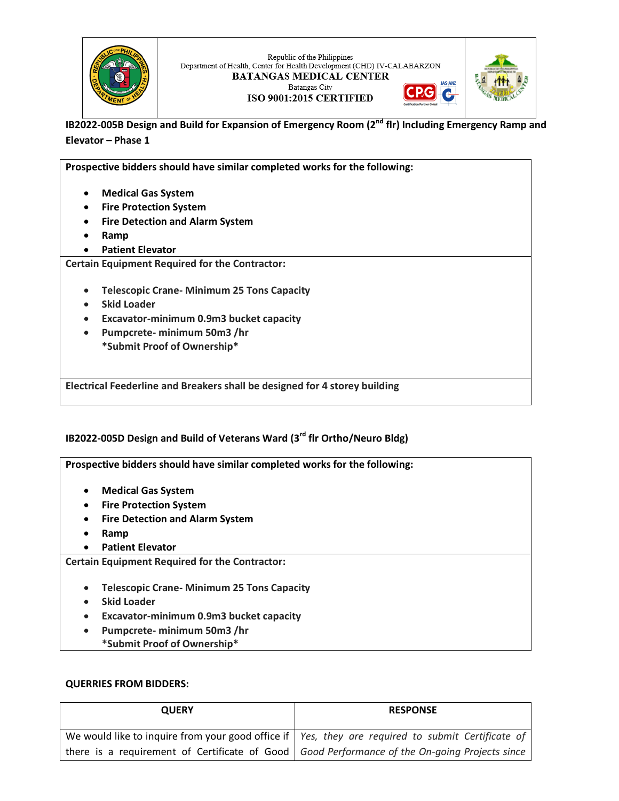

Republic of the Philippines Department of Health, Center for Health Development (CHD) IV-CALABARZON **BATANGAS MEDICAL CENTER** Batangas City





ISO 9001:2015 CERTIFIED

**IB2022-005B Design and Build for Expansion of Emergency Room (2nd flr) Including Emergency Ramp and Elevator – Phase 1**

**Prospective bidders should have similar completed works for the following: Medical Gas System Fire Protection System Fire Detection and Alarm System Ramp Patient Elevator Certain Equipment Required for the Contractor: Telescopic Crane- Minimum 25 Tons Capacity Skid Loader Excavator-minimum 0.9m3 bucket capacity Pumpcrete- minimum 50m3 /hr \*Submit Proof of Ownership\* Electrical Feederline and Breakers shall be designed for 4 storey building**

### **IB2022-005D Design and Build of Veterans Ward (3rd flr Ortho/Neuro Bldg)**

**Prospective bidders should have similar completed works for the following: Medical Gas System Fire Protection System Fire Detection and Alarm System Ramp Patient Elevator Certain Equipment Required for the Contractor: Telescopic Crane- Minimum 25 Tons Capacity Skid Loader Excavator-minimum 0.9m3 bucket capacity Pumpcrete- minimum 50m3 /hr \*Submit Proof of Ownership\***

### **QUERRIES FROM BIDDERS:**

| <b>QUERY</b> | <b>RESPONSE</b>                                                                                     |  |
|--------------|-----------------------------------------------------------------------------------------------------|--|
|              | We would like to inquire from your good office if   Yes, they are required to submit Certificate of |  |
|              | there is a requirement of Certificate of Good   Good Performance of the On-going Projects since     |  |